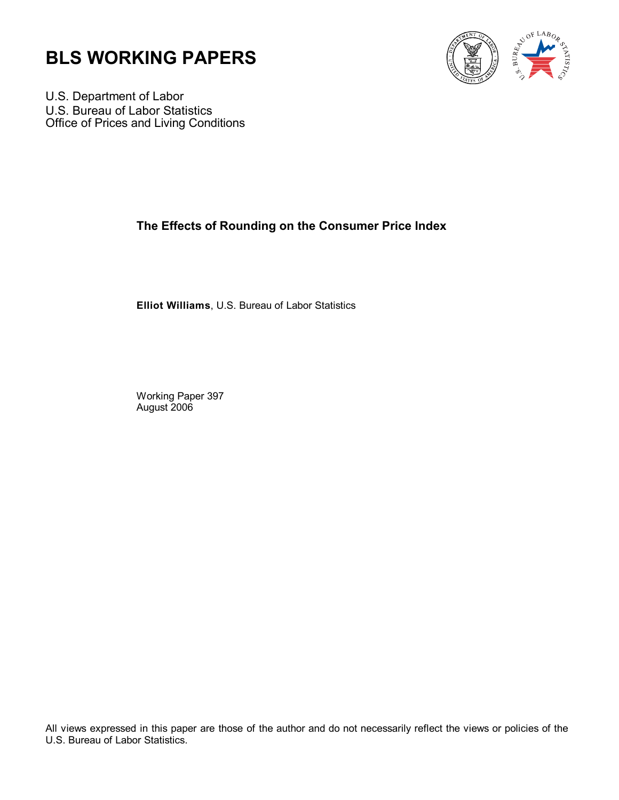



U.S. Department of Labor U.S. Bureau of Labor Statistics Office of Prices and Living Conditions

# **The Effects of Rounding on the Consumer Price Index**

**Elliot Williams**, U.S. Bureau of Labor Statistics

Working Paper 397 August 2006

All views expressed in this paper are those of the author and do not necessarily reflect the views or policies of the U.S. Bureau of Labor Statistics.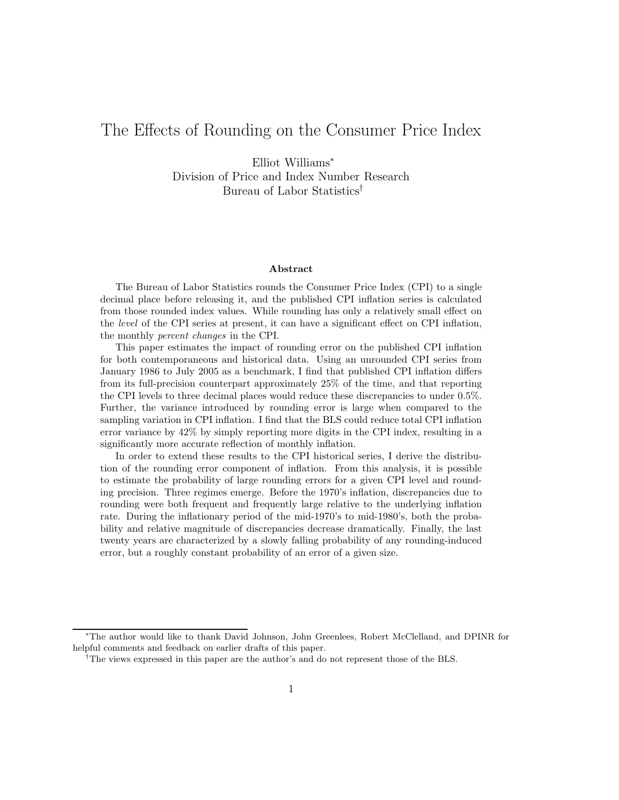# The Effects of Rounding on the Consumer Price Index

Elliot Williams<sup>∗</sup> Division of Price and Index Number Research Bureau of Labor Statistics†

#### Abstract

The Bureau of Labor Statistics rounds the Consumer Price Index (CPI) to a single decimal place before releasing it, and the published CPI inflation series is calculated from those rounded index values. While rounding has only a relatively small effect on the level of the CPI series at present, it can have a significant effect on CPI inflation, the monthly percent changes in the CPI.

This paper estimates the impact of rounding error on the published CPI inflation for both contemporaneous and historical data. Using an unrounded CPI series from January 1986 to July 2005 as a benchmark, I find that published CPI inflation differs from its full-precision counterpart approximately 25% of the time, and that reporting the CPI levels to three decimal places would reduce these discrepancies to under 0.5%. Further, the variance introduced by rounding error is large when compared to the sampling variation in CPI inflation. I find that the BLS could reduce total CPI inflation error variance by 42% by simply reporting more digits in the CPI index, resulting in a significantly more accurate reflection of monthly inflation.

In order to extend these results to the CPI historical series, I derive the distribution of the rounding error component of inflation. From this analysis, it is possible to estimate the probability of large rounding errors for a given CPI level and rounding precision. Three regimes emerge. Before the 1970's inflation, discrepancies due to rounding were both frequent and frequently large relative to the underlying inflation rate. During the inflationary period of the mid-1970's to mid-1980's, both the probability and relative magnitude of discrepancies decrease dramatically. Finally, the last twenty years are characterized by a slowly falling probability of any rounding-induced error, but a roughly constant probability of an error of a given size.

<sup>∗</sup>The author would like to thank David Johnson, John Greenlees, Robert McClelland, and DPINR for helpful comments and feedback on earlier drafts of this paper.

<sup>†</sup>The views expressed in this paper are the author's and do not represent those of the BLS.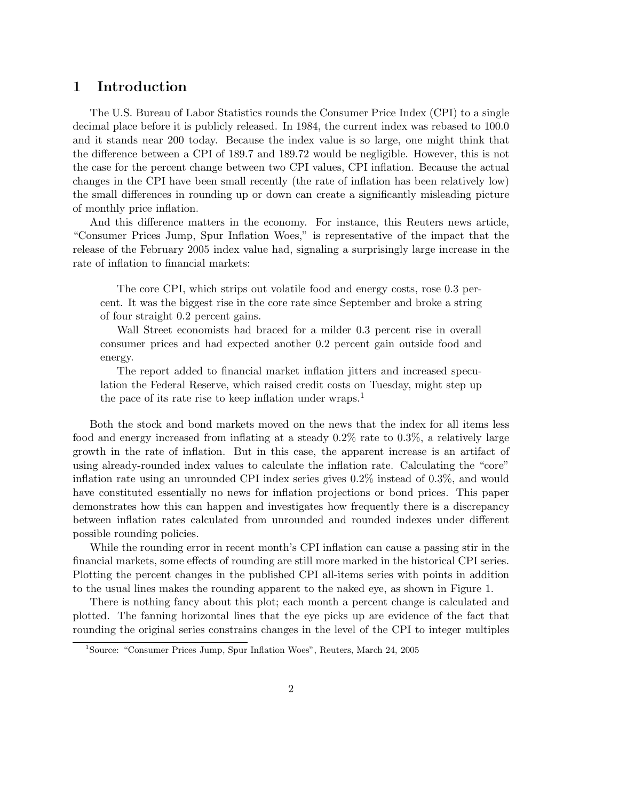#### 1 Introduction

The U.S. Bureau of Labor Statistics rounds the Consumer Price Index (CPI) to a single decimal place before it is publicly released. In 1984, the current index was rebased to 100.0 and it stands near 200 today. Because the index value is so large, one might think that the difference between a CPI of 189.7 and 189.72 would be negligible. However, this is not the case for the percent change between two CPI values, CPI inflation. Because the actual changes in the CPI have been small recently (the rate of inflation has been relatively low) the small differences in rounding up or down can create a significantly misleading picture of monthly price inflation.

And this difference matters in the economy. For instance, this Reuters news article, "Consumer Prices Jump, Spur Inflation Woes," is representative of the impact that the release of the February 2005 index value had, signaling a surprisingly large increase in the rate of inflation to financial markets:

The core CPI, which strips out volatile food and energy costs, rose 0.3 percent. It was the biggest rise in the core rate since September and broke a string of four straight 0.2 percent gains.

Wall Street economists had braced for a milder 0.3 percent rise in overall consumer prices and had expected another 0.2 percent gain outside food and energy.

The report added to financial market inflation jitters and increased speculation the Federal Reserve, which raised credit costs on Tuesday, might step up the pace of its rate rise to keep inflation under wraps.<sup>1</sup>

Both the stock and bond markets moved on the news that the index for all items less food and energy increased from inflating at a steady 0.2% rate to 0.3%, a relatively large growth in the rate of inflation. But in this case, the apparent increase is an artifact of using already-rounded index values to calculate the inflation rate. Calculating the "core" inflation rate using an unrounded CPI index series gives 0.2% instead of 0.3%, and would have constituted essentially no news for inflation projections or bond prices. This paper demonstrates how this can happen and investigates how frequently there is a discrepancy between inflation rates calculated from unrounded and rounded indexes under different possible rounding policies.

While the rounding error in recent month's CPI inflation can cause a passing stir in the financial markets, some effects of rounding are still more marked in the historical CPI series. Plotting the percent changes in the published CPI all-items series with points in addition to the usual lines makes the rounding apparent to the naked eye, as shown in Figure 1.

There is nothing fancy about this plot; each month a percent change is calculated and plotted. The fanning horizontal lines that the eye picks up are evidence of the fact that rounding the original series constrains changes in the level of the CPI to integer multiples

<sup>&</sup>lt;sup>1</sup>Source: "Consumer Prices Jump, Spur Inflation Woes", Reuters, March 24, 2005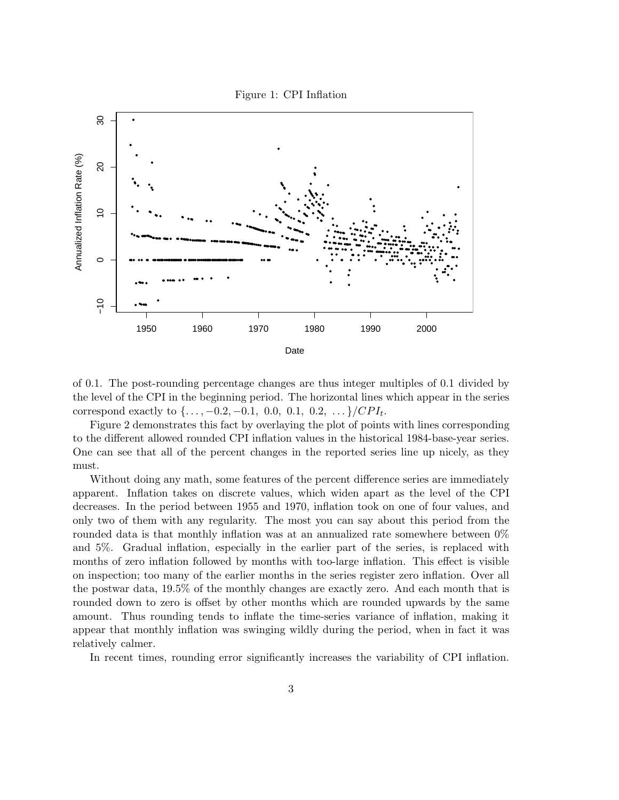Figure 1: CPI Inflation



of 0.1. The post-rounding percentage changes are thus integer multiples of 0.1 divided by the level of the CPI in the beginning period. The horizontal lines which appear in the series correspond exactly to  $\{\ldots, -0.2, -0.1, 0.0, 0.1, 0.2, \ldots\}/CPI_t$ .

Figure 2 demonstrates this fact by overlaying the plot of points with lines corresponding to the different allowed rounded CPI inflation values in the historical 1984-base-year series. One can see that all of the percent changes in the reported series line up nicely, as they must.

Without doing any math, some features of the percent difference series are immediately apparent. Inflation takes on discrete values, which widen apart as the level of the CPI decreases. In the period between 1955 and 1970, inflation took on one of four values, and only two of them with any regularity. The most you can say about this period from the rounded data is that monthly inflation was at an annualized rate somewhere between  $0\%$ and 5%. Gradual inflation, especially in the earlier part of the series, is replaced with months of zero inflation followed by months with too-large inflation. This effect is visible on inspection; too many of the earlier months in the series register zero inflation. Over all the postwar data, 19.5% of the monthly changes are exactly zero. And each month that is rounded down to zero is offset by other months which are rounded upwards by the same amount. Thus rounding tends to inflate the time-series variance of inflation, making it appear that monthly inflation was swinging wildly during the period, when in fact it was relatively calmer.

In recent times, rounding error significantly increases the variability of CPI inflation.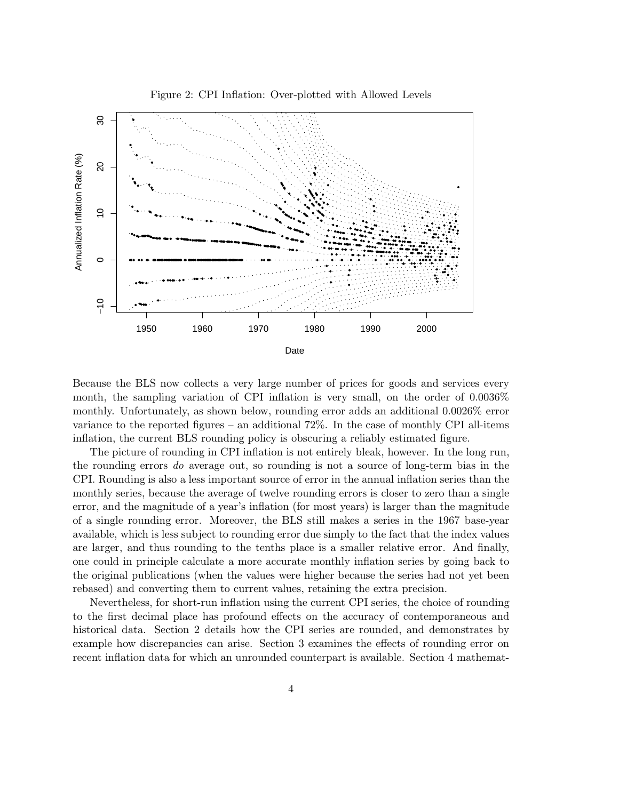

Figure 2: CPI Inflation: Over-plotted with Allowed Levels

Because the BLS now collects a very large number of prices for goods and services every month, the sampling variation of CPI inflation is very small, on the order of 0.0036% monthly. Unfortunately, as shown below, rounding error adds an additional 0.0026% error variance to the reported figures – an additional 72%. In the case of monthly CPI all-items inflation, the current BLS rounding policy is obscuring a reliably estimated figure.

The picture of rounding in CPI inflation is not entirely bleak, however. In the long run, the rounding errors do average out, so rounding is not a source of long-term bias in the CPI. Rounding is also a less important source of error in the annual inflation series than the monthly series, because the average of twelve rounding errors is closer to zero than a single error, and the magnitude of a year's inflation (for most years) is larger than the magnitude of a single rounding error. Moreover, the BLS still makes a series in the 1967 base-year available, which is less subject to rounding error due simply to the fact that the index values are larger, and thus rounding to the tenths place is a smaller relative error. And finally, one could in principle calculate a more accurate monthly inflation series by going back to the original publications (when the values were higher because the series had not yet been rebased) and converting them to current values, retaining the extra precision.

Nevertheless, for short-run inflation using the current CPI series, the choice of rounding to the first decimal place has profound effects on the accuracy of contemporaneous and historical data. Section 2 details how the CPI series are rounded, and demonstrates by example how discrepancies can arise. Section 3 examines the effects of rounding error on recent inflation data for which an unrounded counterpart is available. Section 4 mathemat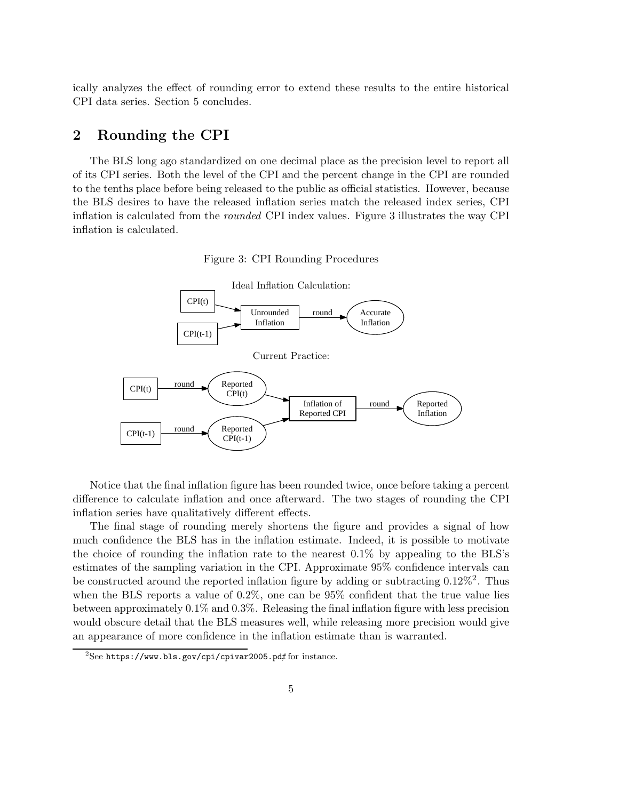ically analyzes the effect of rounding error to extend these results to the entire historical CPI data series. Section 5 concludes.

## 2 Rounding the CPI

The BLS long ago standardized on one decimal place as the precision level to report all of its CPI series. Both the level of the CPI and the percent change in the CPI are rounded to the tenths place before being released to the public as official statistics. However, because the BLS desires to have the released inflation series match the released index series, CPI inflation is calculated from the rounded CPI index values. Figure 3 illustrates the way CPI inflation is calculated.

Figure 3: CPI Rounding Procedures



Notice that the final inflation figure has been rounded twice, once before taking a percent difference to calculate inflation and once afterward. The two stages of rounding the CPI inflation series have qualitatively different effects.

The final stage of rounding merely shortens the figure and provides a signal of how much confidence the BLS has in the inflation estimate. Indeed, it is possible to motivate the choice of rounding the inflation rate to the nearest 0.1% by appealing to the BLS's estimates of the sampling variation in the CPI. Approximate 95% confidence intervals can be constructed around the reported inflation figure by adding or subtracting  $0.12\%$ <sup>2</sup>. Thus when the BLS reports a value of 0.2%, one can be 95% confident that the true value lies between approximately 0.1% and 0.3%. Releasing the final inflation figure with less precision would obscure detail that the BLS measures well, while releasing more precision would give an appearance of more confidence in the inflation estimate than is warranted.

 $^{2}$ See https://www.bls.gov/cpi/cpivar2005.pdf for instance.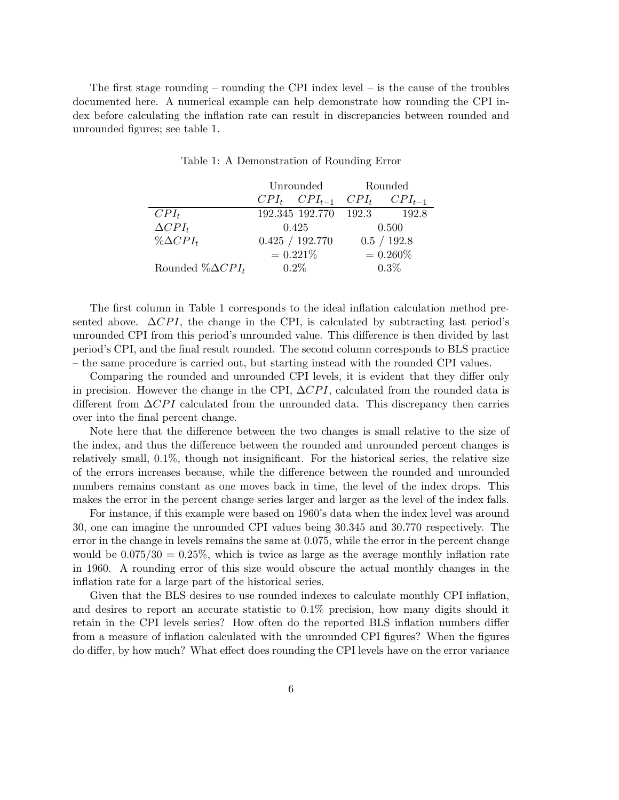The first stage rounding – rounding the CPI index level – is the cause of the troubles documented here. A numerical example can help demonstrate how rounding the CPI index before calculating the inflation rate can result in discrepancies between rounded and unrounded figures; see table 1.

|                          | Unrounded                   | Rounded |             |  |  |
|--------------------------|-----------------------------|---------|-------------|--|--|
|                          | $CPI_t$ $CPI_{t-1}$ $CPI_t$ |         | $CPI_{t-1}$ |  |  |
| $CPI_t$                  | 192.345 192.770 192.3       |         | -192.8      |  |  |
| $\Delta CPL_t$           | 0.425                       |         | 0.500       |  |  |
| $\%\Delta CPL_t$         | 0.425 / 192.770             |         | 0.5 / 192.8 |  |  |
|                          | $= 0.221\%$                 |         | $= 0.260\%$ |  |  |
| Rounded % $\Delta CPI_t$ | $0.2\%$                     |         | $0.3\%$     |  |  |

Table 1: A Demonstration of Rounding Error

The first column in Table 1 corresponds to the ideal inflation calculation method presented above.  $\Delta CPI$ , the change in the CPI, is calculated by subtracting last period's unrounded CPI from this period's unrounded value. This difference is then divided by last period's CPI, and the final result rounded. The second column corresponds to BLS practice – the same procedure is carried out, but starting instead with the rounded CPI values.

Comparing the rounded and unrounded CPI levels, it is evident that they differ only in precision. However the change in the CPI,  $\Delta CPI$ , calculated from the rounded data is different from  $\Delta CPI$  calculated from the unrounded data. This discrepancy then carries over into the final percent change.

Note here that the difference between the two changes is small relative to the size of the index, and thus the difference between the rounded and unrounded percent changes is relatively small, 0.1%, though not insignificant. For the historical series, the relative size of the errors increases because, while the difference between the rounded and unrounded numbers remains constant as one moves back in time, the level of the index drops. This makes the error in the percent change series larger and larger as the level of the index falls.

For instance, if this example were based on 1960's data when the index level was around 30, one can imagine the unrounded CPI values being 30.345 and 30.770 respectively. The error in the change in levels remains the same at 0.075, while the error in the percent change would be  $0.075/30 = 0.25\%$ , which is twice as large as the average monthly inflation rate in 1960. A rounding error of this size would obscure the actual monthly changes in the inflation rate for a large part of the historical series.

Given that the BLS desires to use rounded indexes to calculate monthly CPI inflation, and desires to report an accurate statistic to 0.1% precision, how many digits should it retain in the CPI levels series? How often do the reported BLS inflation numbers differ from a measure of inflation calculated with the unrounded CPI figures? When the figures do differ, by how much? What effect does rounding the CPI levels have on the error variance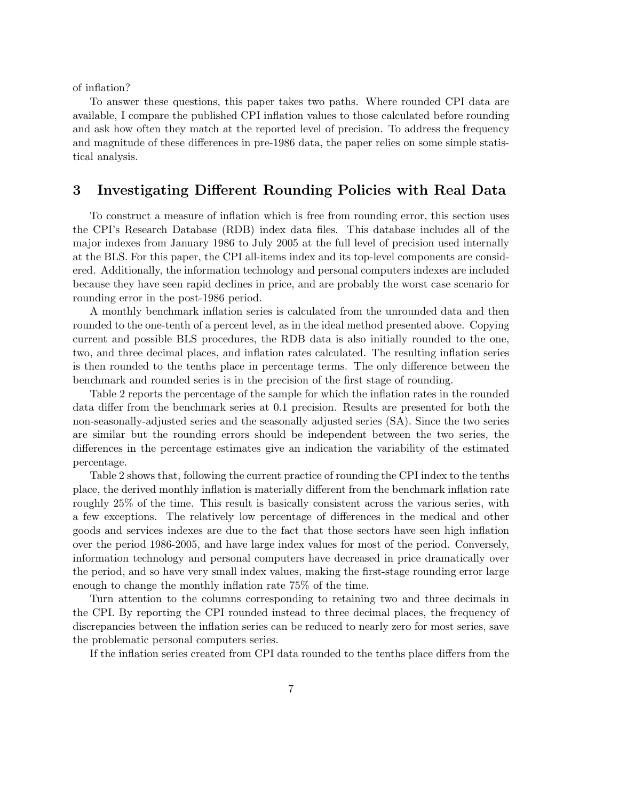of inflation?

To answer these questions, this paper takes two paths. Where rounded CPI data are available, I compare the published CPI inflation values to those calculated before rounding and ask how often they match at the reported level of precision. To address the frequency and magnitude of these differences in pre-1986 data, the paper relies on some simple statistical analysis.

# 3 Investigating Different Rounding Policies with Real Data

To construct a measure of inflation which is free from rounding error, this section uses the CPI's Research Database (RDB) index data files. This database includes all of the major indexes from January 1986 to July 2005 at the full level of precision used internally at the BLS. For this paper, the CPI all-items index and its top-level components are considered. Additionally, the information technology and personal computers indexes are included because they have seen rapid declines in price, and are probably the worst case scenario for rounding error in the post-1986 period.

A monthly benchmark inflation series is calculated from the unrounded data and then rounded to the one-tenth of a percent level, as in the ideal method presented above. Copying current and possible BLS procedures, the RDB data is also initially rounded to the one, two, and three decimal places, and inflation rates calculated. The resulting inflation series is then rounded to the tenths place in percentage terms. The only difference between the benchmark and rounded series is in the precision of the first stage of rounding.

Table 2 reports the percentage of the sample for which the inflation rates in the rounded data differ from the benchmark series at 0.1 precision. Results are presented for both the non-seasonally-adjusted series and the seasonally adjusted series (SA). Since the two series are similar but the rounding errors should be independent between the two series, the differences in the percentage estimates give an indication the variability of the estimated percentage.

Table 2 shows that, following the current practice of rounding the CPI index to the tenths place, the derived monthly inflation is materially different from the benchmark inflation rate roughly 25% of the time. This result is basically consistent across the various series, with a few exceptions. The relatively low percentage of differences in the medical and other goods and services indexes are due to the fact that those sectors have seen high inflation over the period 1986-2005, and have large index values for most of the period. Conversely, information technology and personal computers have decreased in price dramatically over the period, and so have very small index values, making the first-stage rounding error large enough to change the monthly inflation rate 75% of the time.

Turn attention to the columns corresponding to retaining two and three decimals in the CPI. By reporting the CPI rounded instead to three decimal places, the frequency of discrepancies between the inflation series can be reduced to nearly zero for most series, save the problematic personal computers series.

If the inflation series created from CPI data rounded to the tenths place differs from the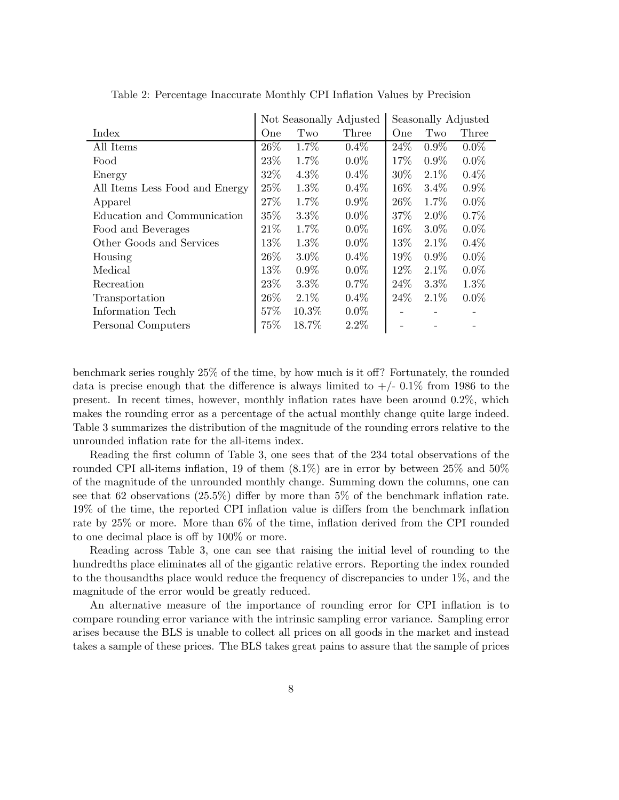|                                | Not Seasonally Adjusted |         |         | Seasonally Adjusted |         |         |  |
|--------------------------------|-------------------------|---------|---------|---------------------|---------|---------|--|
| Index                          | One                     | Two     | Three   | One                 | Two     | Three   |  |
| All Items                      | 26\%                    | 1.7%    | $0.4\%$ | 24\%                | $0.9\%$ | $0.0\%$ |  |
| Food                           | 23\%                    | 1.7%    | $0.0\%$ | 17%                 | $0.9\%$ | $0.0\%$ |  |
| Energy                         | 32%                     | $4.3\%$ | $0.4\%$ | 30%                 | $2.1\%$ | $0.4\%$ |  |
| All Items Less Food and Energy | 25%                     | $1.3\%$ | $0.4\%$ | $16\%$              | $3.4\%$ | $0.9\%$ |  |
| Apparel                        | 27%                     | 1.7%    | $0.9\%$ | 26\%                | 1.7%    | $0.0\%$ |  |
| Education and Communication    | $35\%$                  | $3.3\%$ | $0.0\%$ | 37%                 | $2.0\%$ | 0.7%    |  |
| Food and Beverages             | 21\%                    | 1.7%    | $0.0\%$ | $16\%$              | $3.0\%$ | $0.0\%$ |  |
| Other Goods and Services       | 13%                     | 1.3%    | $0.0\%$ | 13\%                | $2.1\%$ | $0.4\%$ |  |
| Housing                        | 26\%                    | $3.0\%$ | $0.4\%$ | 19%                 | $0.9\%$ | $0.0\%$ |  |
| Medical                        | 13%                     | $0.9\%$ | $0.0\%$ | 12%                 | 2.1%    | $0.0\%$ |  |
| Recreation                     | 23\%                    | $3.3\%$ | $0.7\%$ | 24\%                | 3.3%    | $1.3\%$ |  |
| Transportation                 | 26\%                    | $2.1\%$ | $0.4\%$ | 24\%                | $2.1\%$ | $0.0\%$ |  |
| Information Tech               | 57%                     | 10.3%   | $0.0\%$ |                     |         |         |  |
| Personal Computers             | 75%                     | 18.7%   | $2.2\%$ |                     |         |         |  |

Table 2: Percentage Inaccurate Monthly CPI Inflation Values by Precision

benchmark series roughly 25% of the time, by how much is it off? Fortunately, the rounded data is precise enough that the difference is always limited to  $+/-0.1\%$  from 1986 to the present. In recent times, however, monthly inflation rates have been around 0.2%, which makes the rounding error as a percentage of the actual monthly change quite large indeed. Table 3 summarizes the distribution of the magnitude of the rounding errors relative to the unrounded inflation rate for the all-items index.

Reading the first column of Table 3, one sees that of the 234 total observations of the rounded CPI all-items inflation, 19 of them (8.1%) are in error by between 25% and 50% of the magnitude of the unrounded monthly change. Summing down the columns, one can see that 62 observations (25.5%) differ by more than 5% of the benchmark inflation rate. 19% of the time, the reported CPI inflation value is differs from the benchmark inflation rate by 25% or more. More than 6% of the time, inflation derived from the CPI rounded to one decimal place is off by 100% or more.

Reading across Table 3, one can see that raising the initial level of rounding to the hundredths place eliminates all of the gigantic relative errors. Reporting the index rounded to the thousandths place would reduce the frequency of discrepancies to under 1%, and the magnitude of the error would be greatly reduced.

An alternative measure of the importance of rounding error for CPI inflation is to compare rounding error variance with the intrinsic sampling error variance. Sampling error arises because the BLS is unable to collect all prices on all goods in the market and instead takes a sample of these prices. The BLS takes great pains to assure that the sample of prices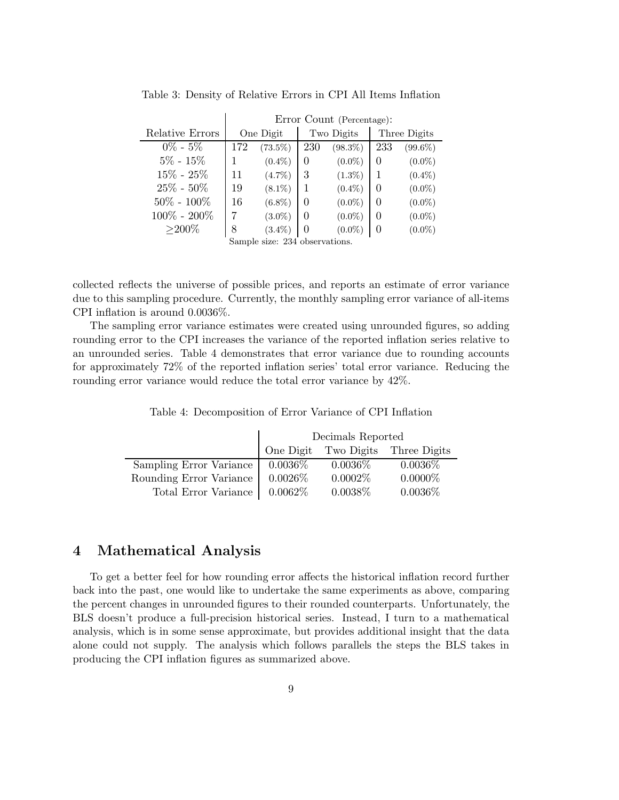|                                | Error Count (Percentage): |            |            |            |              |            |  |
|--------------------------------|---------------------------|------------|------------|------------|--------------|------------|--|
| Relative Errors                | One Digit                 |            | Two Digits |            | Three Digits |            |  |
| $0\% - 5\%$                    | 172                       | $(73.5\%)$ | 230        | $(98.3\%)$ | 233          | $(99.6\%)$ |  |
| $5\% - 15\%$                   |                           | $(0.4\%)$  | $\theta$   | $(0.0\%)$  | 0            | $(0.0\%)$  |  |
| $15\% - 25\%$                  | 11                        | $(4.7\%)$  | 3          | $(1.3\%)$  | 1            | $(0.4\%)$  |  |
| $25\% - 50\%$                  | 19                        | $(8.1\%)$  |            | $(0.4\%)$  | 0            | $(0.0\%)$  |  |
| $50\% - 100\%$                 | 16                        | $(6.8\%)$  | 0          | $(0.0\%)$  | 0            | $(0.0\%)$  |  |
| $100\% - 200\%$                |                           | $(3.0\%)$  | 0          | $(0.0\%)$  | 0            | $(0.0\%)$  |  |
| $>$ 200%                       | 8                         | $(3.4\%)$  | $\theta$   | $(0.0\%)$  |              | $(0.0\%)$  |  |
| Sample size: 234 observations. |                           |            |            |            |              |            |  |

Table 3: Density of Relative Errors in CPI All Items Inflation

collected reflects the universe of possible prices, and reports an estimate of error variance due to this sampling procedure. Currently, the monthly sampling error variance of all-items CPI inflation is around 0.0036%.

The sampling error variance estimates were created using unrounded figures, so adding rounding error to the CPI increases the variance of the reported inflation series relative to an unrounded series. Table 4 demonstrates that error variance due to rounding accounts for approximately 72% of the reported inflation series' total error variance. Reducing the rounding error variance would reduce the total error variance by 42%.

|  |  | Table 4: Decomposition of Error Variance of CPI Inflation |  |  |  |  |  |  |  |  |  |
|--|--|-----------------------------------------------------------|--|--|--|--|--|--|--|--|--|
|--|--|-----------------------------------------------------------|--|--|--|--|--|--|--|--|--|

|                                             | Decimals Reported |            |                                   |  |  |  |
|---------------------------------------------|-------------------|------------|-----------------------------------|--|--|--|
|                                             |                   |            | One Digit Two Digits Three Digits |  |  |  |
| Sampling Error Variance   0.0036\%          |                   | $0.0036\%$ | $0.0036\%$                        |  |  |  |
| Rounding Error Variance   0.0026\%          |                   | $0.0002\%$ | $0.0000\%$                        |  |  |  |
| Total Error Variance $\vert 0.0062\% \vert$ |                   | $0.0038\%$ | $0.0036\%$                        |  |  |  |

### 4 Mathematical Analysis

To get a better feel for how rounding error affects the historical inflation record further back into the past, one would like to undertake the same experiments as above, comparing the percent changes in unrounded figures to their rounded counterparts. Unfortunately, the BLS doesn't produce a full-precision historical series. Instead, I turn to a mathematical analysis, which is in some sense approximate, but provides additional insight that the data alone could not supply. The analysis which follows parallels the steps the BLS takes in producing the CPI inflation figures as summarized above.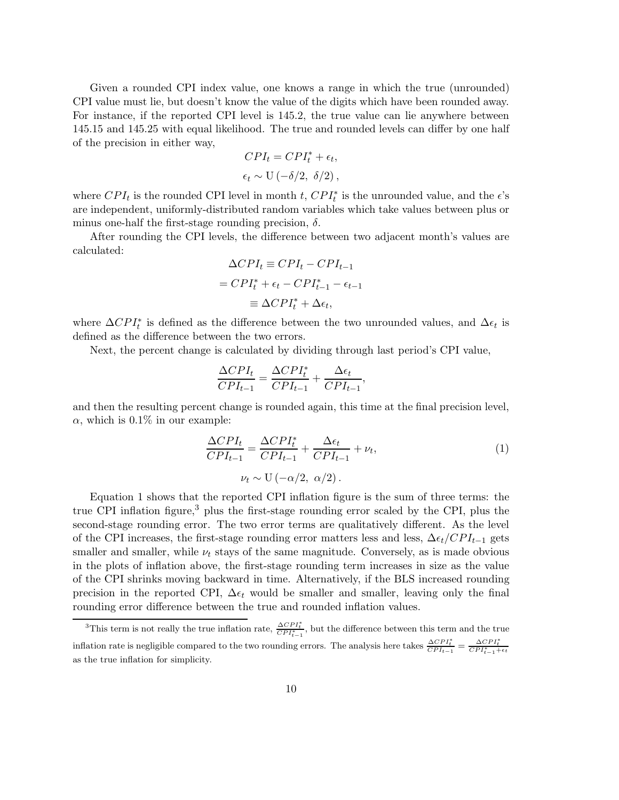Given a rounded CPI index value, one knows a range in which the true (unrounded) CPI value must lie, but doesn't know the value of the digits which have been rounded away. For instance, if the reported CPI level is 145.2, the true value can lie anywhere between 145.15 and 145.25 with equal likelihood. The true and rounded levels can differ by one half of the precision in either way,

$$
CPI_t = CPI_t^* + \epsilon_t,
$$
  

$$
\epsilon_t \sim U(-\delta/2, \ \delta/2),
$$

where  $CPI_t$  is the rounded CPI level in month t,  $CPI_t^*$  is the unrounded value, and the  $\epsilon$ 's are independent, uniformly-distributed random variables which take values between plus or minus one-half the first-stage rounding precision,  $\delta$ .

After rounding the CPI levels, the difference between two adjacent month's values are calculated:

$$
\Delta CPI_t \equiv CPI_t - CPI_{t-1}
$$

$$
= CPI_t^* + \epsilon_t - CPI_{t-1} - \epsilon_{t-1}
$$

$$
\equiv \Delta CPI_t^* + \Delta \epsilon_t,
$$

where  $\Delta CPI_t^*$  is defined as the difference between the two unrounded values, and  $\Delta \epsilon_t$  is defined as the difference between the two errors.

Next, the percent change is calculated by dividing through last period's CPI value,

$$
\frac{\Delta CPL_t}{CPI_{t-1}} = \frac{\Delta CPL_t^*}{CPI_{t-1}} + \frac{\Delta \epsilon_t}{CPI_{t-1}},
$$

and then the resulting percent change is rounded again, this time at the final precision level,  $\alpha$ , which is 0.1% in our example:

$$
\frac{\Delta CPI_t}{CPI_{t-1}} = \frac{\Delta CPI_t^*}{CPI_{t-1}} + \frac{\Delta\epsilon_t}{CPI_{t-1}} + \nu_t,
$$
  

$$
\nu_t \sim \mathcal{U}(-\alpha/2, \ \alpha/2).
$$
 (1)

Equation 1 shows that the reported CPI inflation figure is the sum of three terms: the true CPI inflation figure,<sup>3</sup> plus the first-stage rounding error scaled by the CPI, plus the second-stage rounding error. The two error terms are qualitatively different. As the level of the CPI increases, the first-stage rounding error matters less and less,  $\Delta \epsilon_t / CPI_{t-1}$  gets smaller and smaller, while  $\nu_t$  stays of the same magnitude. Conversely, as is made obvious in the plots of inflation above, the first-stage rounding term increases in size as the value of the CPI shrinks moving backward in time. Alternatively, if the BLS increased rounding precision in the reported CPI,  $\Delta \epsilon_t$  would be smaller and smaller, leaving only the final rounding error difference between the true and rounded inflation values.

<sup>&</sup>lt;sup>3</sup>This term is not really the true inflation rate,  $\frac{\Delta CPI_t^*}{CPI_{t-1}^*}$ , but the difference between this term and the true inflation rate is negligible compared to the two rounding errors. The analysis here takes  $\frac{\Delta CP I_t^*}{CP I_{t-1}^*} = \frac{\Delta CP I_t^*}{CP I_{t-1}^* + \epsilon_t}$ as the true inflation for simplicity.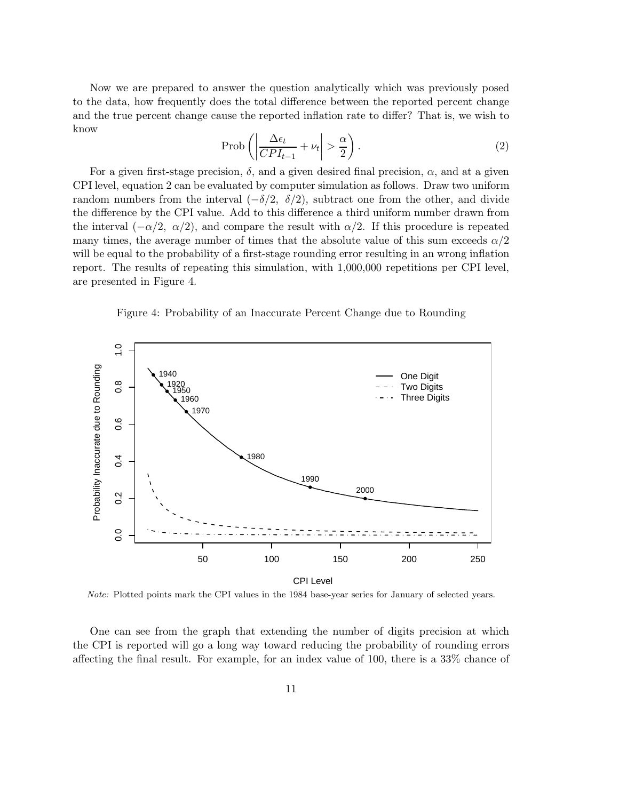Now we are prepared to answer the question analytically which was previously posed to the data, how frequently does the total difference between the reported percent change and the true percent change cause the reported inflation rate to differ? That is, we wish to know

$$
\text{Prob}\left(\left|\frac{\Delta\epsilon_t}{CPI_{t-1}} + \nu_t\right| > \frac{\alpha}{2}\right). \tag{2}
$$

For a given first-stage precision,  $\delta$ , and a given desired final precision,  $\alpha$ , and at a given CPI level, equation 2 can be evaluated by computer simulation as follows. Draw two uniform random numbers from the interval  $(-\delta/2, \delta/2)$ , subtract one from the other, and divide the difference by the CPI value. Add to this difference a third uniform number drawn from the interval  $(-\alpha/2, \alpha/2)$ , and compare the result with  $\alpha/2$ . If this procedure is repeated many times, the average number of times that the absolute value of this sum exceeds  $\alpha/2$ will be equal to the probability of a first-stage rounding error resulting in an wrong inflation report. The results of repeating this simulation, with 1,000,000 repetitions per CPI level, are presented in Figure 4.

Figure 4: Probability of an Inaccurate Percent Change due to Rounding



Note: Plotted points mark the CPI values in the 1984 base-year series for January of selected years.

One can see from the graph that extending the number of digits precision at which the CPI is reported will go a long way toward reducing the probability of rounding errors affecting the final result. For example, for an index value of 100, there is a 33% chance of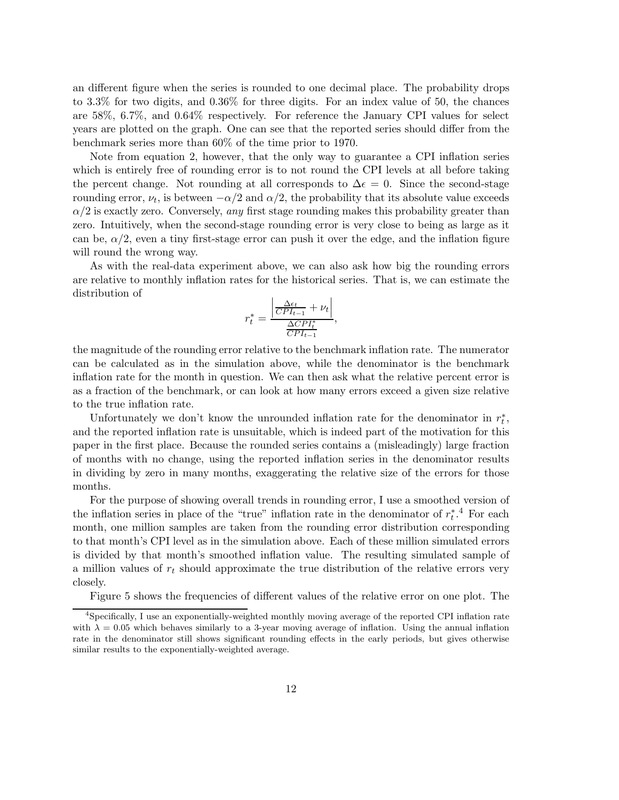an different figure when the series is rounded to one decimal place. The probability drops to 3.3% for two digits, and 0.36% for three digits. For an index value of 50, the chances are 58%, 6.7%, and 0.64% respectively. For reference the January CPI values for select years are plotted on the graph. One can see that the reported series should differ from the benchmark series more than 60% of the time prior to 1970.

Note from equation 2, however, that the only way to guarantee a CPI inflation series which is entirely free of rounding error is to not round the CPI levels at all before taking the percent change. Not rounding at all corresponds to  $\Delta \epsilon = 0$ . Since the second-stage rounding error,  $\nu_t$ , is between  $-\alpha/2$  and  $\alpha/2$ , the probability that its absolute value exceeds  $\alpha/2$  is exactly zero. Conversely, any first stage rounding makes this probability greater than zero. Intuitively, when the second-stage rounding error is very close to being as large as it can be,  $\alpha/2$ , even a tiny first-stage error can push it over the edge, and the inflation figure will round the wrong way.

As with the real-data experiment above, we can also ask how big the rounding errors are relative to monthly inflation rates for the historical series. That is, we can estimate the distribution of

$$
r_t^* = \frac{\left| \frac{\Delta \epsilon_t}{CPI_{t-1}} + \nu_t \right|}{\frac{\Delta CPI_t^*}{CPI_{t-1}}},
$$

the magnitude of the rounding error relative to the benchmark inflation rate. The numerator can be calculated as in the simulation above, while the denominator is the benchmark inflation rate for the month in question. We can then ask what the relative percent error is as a fraction of the benchmark, or can look at how many errors exceed a given size relative to the true inflation rate.

Unfortunately we don't know the unrounded inflation rate for the denominator in  $r_t^*$ , and the reported inflation rate is unsuitable, which is indeed part of the motivation for this paper in the first place. Because the rounded series contains a (misleadingly) large fraction of months with no change, using the reported inflation series in the denominator results in dividing by zero in many months, exaggerating the relative size of the errors for those months.

For the purpose of showing overall trends in rounding error, I use a smoothed version of the inflation series in place of the "true" inflation rate in the denominator of  $r_t^*$ .<sup>4</sup> For each month, one million samples are taken from the rounding error distribution corresponding to that month's CPI level as in the simulation above. Each of these million simulated errors is divided by that month's smoothed inflation value. The resulting simulated sample of a million values of  $r_t$  should approximate the true distribution of the relative errors very closely.

Figure 5 shows the frequencies of different values of the relative error on one plot. The

<sup>4</sup>Specifically, I use an exponentially-weighted monthly moving average of the reported CPI inflation rate with  $\lambda = 0.05$  which behaves similarly to a 3-year moving average of inflation. Using the annual inflation rate in the denominator still shows significant rounding effects in the early periods, but gives otherwise similar results to the exponentially-weighted average.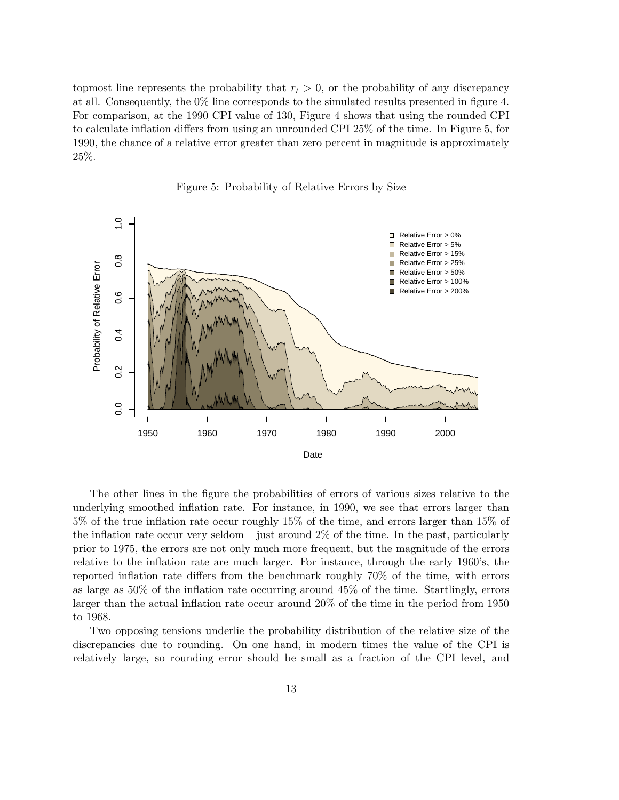topmost line represents the probability that  $r_t > 0$ , or the probability of any discrepancy at all. Consequently, the 0% line corresponds to the simulated results presented in figure 4. For comparison, at the 1990 CPI value of 130, Figure 4 shows that using the rounded CPI to calculate inflation differs from using an unrounded CPI 25% of the time. In Figure 5, for 1990, the chance of a relative error greater than zero percent in magnitude is approximately 25%.



Figure 5: Probability of Relative Errors by Size

The other lines in the figure the probabilities of errors of various sizes relative to the underlying smoothed inflation rate. For instance, in 1990, we see that errors larger than 5% of the true inflation rate occur roughly 15% of the time, and errors larger than 15% of the inflation rate occur very seldom – just around  $2\%$  of the time. In the past, particularly prior to 1975, the errors are not only much more frequent, but the magnitude of the errors relative to the inflation rate are much larger. For instance, through the early 1960's, the reported inflation rate differs from the benchmark roughly 70% of the time, with errors as large as 50% of the inflation rate occurring around 45% of the time. Startlingly, errors larger than the actual inflation rate occur around 20% of the time in the period from 1950 to 1968.

Two opposing tensions underlie the probability distribution of the relative size of the discrepancies due to rounding. On one hand, in modern times the value of the CPI is relatively large, so rounding error should be small as a fraction of the CPI level, and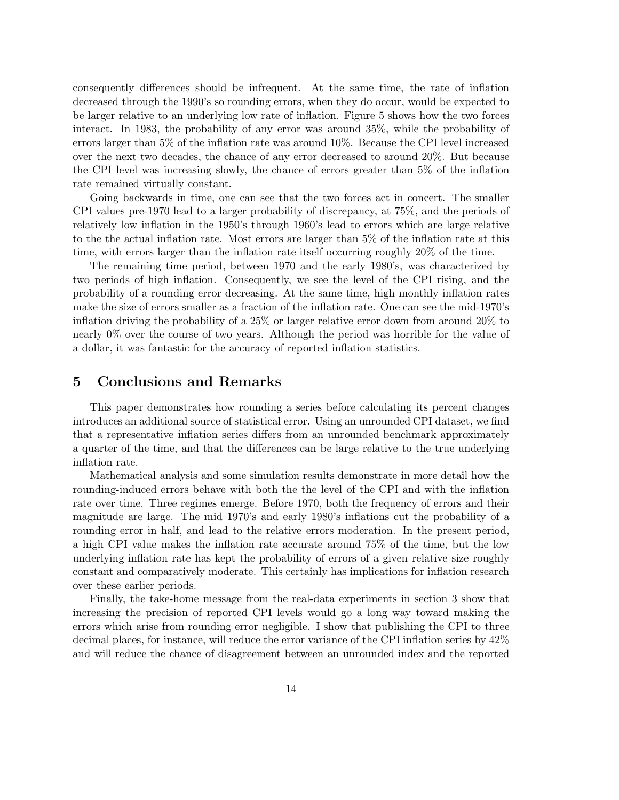consequently differences should be infrequent. At the same time, the rate of inflation decreased through the 1990's so rounding errors, when they do occur, would be expected to be larger relative to an underlying low rate of inflation. Figure 5 shows how the two forces interact. In 1983, the probability of any error was around 35%, while the probability of errors larger than 5% of the inflation rate was around 10%. Because the CPI level increased over the next two decades, the chance of any error decreased to around 20%. But because the CPI level was increasing slowly, the chance of errors greater than 5% of the inflation rate remained virtually constant.

Going backwards in time, one can see that the two forces act in concert. The smaller CPI values pre-1970 lead to a larger probability of discrepancy, at 75%, and the periods of relatively low inflation in the 1950's through 1960's lead to errors which are large relative to the the actual inflation rate. Most errors are larger than 5% of the inflation rate at this time, with errors larger than the inflation rate itself occurring roughly 20% of the time.

The remaining time period, between 1970 and the early 1980's, was characterized by two periods of high inflation. Consequently, we see the level of the CPI rising, and the probability of a rounding error decreasing. At the same time, high monthly inflation rates make the size of errors smaller as a fraction of the inflation rate. One can see the mid-1970's inflation driving the probability of a 25% or larger relative error down from around 20% to nearly 0% over the course of two years. Although the period was horrible for the value of a dollar, it was fantastic for the accuracy of reported inflation statistics.

#### 5 Conclusions and Remarks

This paper demonstrates how rounding a series before calculating its percent changes introduces an additional source of statistical error. Using an unrounded CPI dataset, we find that a representative inflation series differs from an unrounded benchmark approximately a quarter of the time, and that the differences can be large relative to the true underlying inflation rate.

Mathematical analysis and some simulation results demonstrate in more detail how the rounding-induced errors behave with both the the level of the CPI and with the inflation rate over time. Three regimes emerge. Before 1970, both the frequency of errors and their magnitude are large. The mid 1970's and early 1980's inflations cut the probability of a rounding error in half, and lead to the relative errors moderation. In the present period, a high CPI value makes the inflation rate accurate around 75% of the time, but the low underlying inflation rate has kept the probability of errors of a given relative size roughly constant and comparatively moderate. This certainly has implications for inflation research over these earlier periods.

Finally, the take-home message from the real-data experiments in section 3 show that increasing the precision of reported CPI levels would go a long way toward making the errors which arise from rounding error negligible. I show that publishing the CPI to three decimal places, for instance, will reduce the error variance of the CPI inflation series by 42% and will reduce the chance of disagreement between an unrounded index and the reported